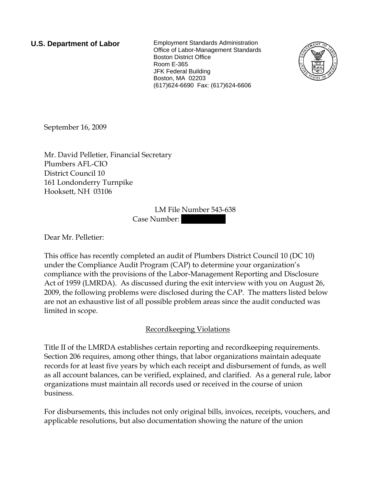**U.S. Department of Labor** Employment Standards Administration Office of Labor-Management Standards Boston District Office Room E-365 JFK Federal Building Boston, MA 02203 (617)624-6690 Fax: (617)624-6606



September 16, 2009

Mr. David Pelletier, Financial Secretary Plumbers AFL-CIO District Council 10 161 Londonderry Turnpike Hooksett, NH 03106

> LM File Number 543-638 Case Number:

Dear Mr. Pelletier:

This office has recently completed an audit of Plumbers District Council 10 (DC 10) under the Compliance Audit Program (CAP) to determine your organization's compliance with the provisions of the Labor-Management Reporting and Disclosure Act of 1959 (LMRDA). As discussed during the exit interview with you on August 26, 2009, the following problems were disclosed during the CAP. The matters listed below are not an exhaustive list of all possible problem areas since the audit conducted was limited in scope.

### Recordkeeping Violations

Title II of the LMRDA establishes certain reporting and recordkeeping requirements. Section 206 requires, among other things, that labor organizations maintain adequate records for at least five years by which each receipt and disbursement of funds, as well as all account balances, can be verified, explained, and clarified. As a general rule, labor organizations must maintain all records used or received in the course of union business.

For disbursements, this includes not only original bills, invoices, receipts, vouchers, and applicable resolutions, but also documentation showing the nature of the union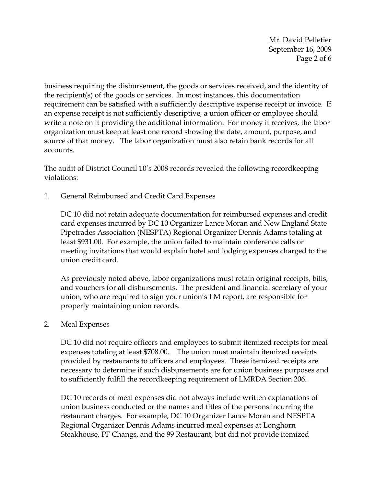Mr. David Pelletier September 16, 2009 Page 2 of 6

business requiring the disbursement, the goods or services received, and the identity of the recipient(s) of the goods or services. In most instances, this documentation requirement can be satisfied with a sufficiently descriptive expense receipt or invoice. If an expense receipt is not sufficiently descriptive, a union officer or employee should write a note on it providing the additional information. For money it receives, the labor organization must keep at least one record showing the date, amount, purpose, and source of that money. The labor organization must also retain bank records for all accounts.

The audit of District Council 10's 2008 records revealed the following recordkeeping violations:

1. General Reimbursed and Credit Card Expenses

DC 10 did not retain adequate documentation for reimbursed expenses and credit card expenses incurred by DC 10 Organizer Lance Moran and New England State Pipetrades Association (NESPTA) Regional Organizer Dennis Adams totaling at least \$931.00. For example, the union failed to maintain conference calls or meeting invitations that would explain hotel and lodging expenses charged to the union credit card.

As previously noted above, labor organizations must retain original receipts, bills, and vouchers for all disbursements. The president and financial secretary of your union, who are required to sign your union's LM report, are responsible for properly maintaining union records.

2. Meal Expenses

DC 10 did not require officers and employees to submit itemized receipts for meal expenses totaling at least \$708.00. The union must maintain itemized receipts provided by restaurants to officers and employees. These itemized receipts are necessary to determine if such disbursements are for union business purposes and to sufficiently fulfill the recordkeeping requirement of LMRDA Section 206.

DC 10 records of meal expenses did not always include written explanations of union business conducted or the names and titles of the persons incurring the restaurant charges. For example, DC 10 Organizer Lance Moran and NESPTA Regional Organizer Dennis Adams incurred meal expenses at Longhorn Steakhouse, PF Changs, and the 99 Restaurant, but did not provide itemized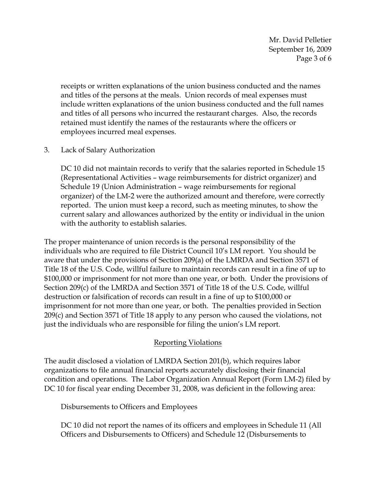Mr. David Pelletier September 16, 2009 Page 3 of 6

receipts or written explanations of the union business conducted and the names and titles of the persons at the meals. Union records of meal expenses must include written explanations of the union business conducted and the full names and titles of all persons who incurred the restaurant charges. Also, the records retained must identify the names of the restaurants where the officers or employees incurred meal expenses.

3. Lack of Salary Authorization

DC 10 did not maintain records to verify that the salaries reported in Schedule 15 (Representational Activities – wage reimbursements for district organizer) and Schedule 19 (Union Administration – wage reimbursements for regional organizer) of the LM-2 were the authorized amount and therefore, were correctly reported. The union must keep a record, such as meeting minutes, to show the current salary and allowances authorized by the entity or individual in the union with the authority to establish salaries.

The proper maintenance of union records is the personal responsibility of the individuals who are required to file District Council 10's LM report. You should be aware that under the provisions of Section 209(a) of the LMRDA and Section 3571 of Title 18 of the U.S. Code, willful failure to maintain records can result in a fine of up to \$100,000 or imprisonment for not more than one year, or both. Under the provisions of Section 209(c) of the LMRDA and Section 3571 of Title 18 of the U.S. Code, willful destruction or falsification of records can result in a fine of up to \$100,000 or imprisonment for not more than one year, or both. The penalties provided in Section 209(c) and Section 3571 of Title 18 apply to any person who caused the violations, not just the individuals who are responsible for filing the union's LM report.

### Reporting Violations

The audit disclosed a violation of LMRDA Section 201(b), which requires labor organizations to file annual financial reports accurately disclosing their financial condition and operations. The Labor Organization Annual Report (Form LM-2) filed by DC 10 for fiscal year ending December 31, 2008, was deficient in the following area:

Disbursements to Officers and Employees

DC 10 did not report the names of its officers and employees in Schedule 11 (All Officers and Disbursements to Officers) and Schedule 12 (Disbursements to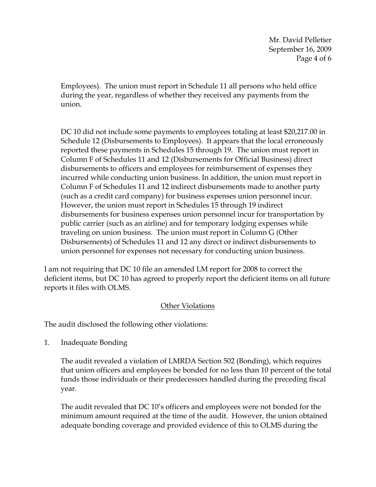Mr. David Pelletier September 16, 2009 Page 4 of 6

Employees). The union must report in Schedule 11 all persons who held office during the year, regardless of whether they received any payments from the union.

DC 10 did not include some payments to employees totaling at least \$20,217.00 in Schedule 12 (Disbursements to Employees). It appears that the local erroneously reported these payments in Schedules 15 through 19. The union must report in Column F of Schedules 11 and 12 (Disbursements for Official Business) direct disbursements to officers and employees for reimbursement of expenses they incurred while conducting union business. In addition, the union must report in Column F of Schedules 11 and 12 indirect disbursements made to another party (such as a credit card company) for business expenses union personnel incur. However, the union must report in Schedules 15 through 19 indirect disbursements for business expenses union personnel incur for transportation by public carrier (such as an airline) and for temporary lodging expenses while traveling on union business. The union must report in Column G (Other Disbursements) of Schedules 11 and 12 any direct or indirect disbursements to union personnel for expenses not necessary for conducting union business.

I am not requiring that DC 10 file an amended LM report for 2008 to correct the deficient items, but DC 10 has agreed to properly report the deficient items on all future reports it files with OLMS.

# Other Violations

The audit disclosed the following other violations:

1. Inadequate Bonding

The audit revealed a violation of LMRDA Section 502 (Bonding), which requires that union officers and employees be bonded for no less than 10 percent of the total funds those individuals or their predecessors handled during the preceding fiscal year.

The audit revealed that DC 10's officers and employees were not bonded for the minimum amount required at the time of the audit. However, the union obtained adequate bonding coverage and provided evidence of this to OLMS during the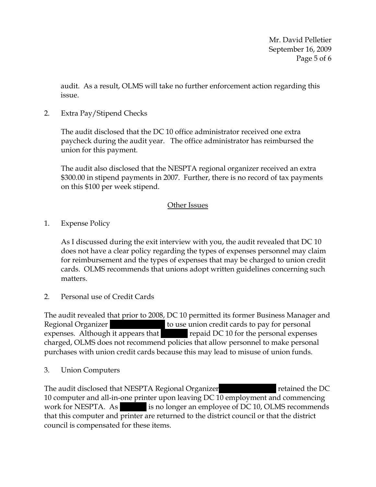Mr. David Pelletier September 16, 2009 Page 5 of 6

audit. As a result, OLMS will take no further enforcement action regarding this issue.

2. Extra Pay/Stipend Checks

The audit disclosed that the DC 10 office administrator received one extra paycheck during the audit year. The office administrator has reimbursed the union for this payment.

The audit also disclosed that the NESPTA regional organizer received an extra \$300.00 in stipend payments in 2007. Further, there is no record of tax payments on this \$100 per week stipend.

## Other Issues

1. Expense Policy

As I discussed during the exit interview with you, the audit revealed that DC 10 does not have a clear policy regarding the types of expenses personnel may claim for reimbursement and the types of expenses that may be charged to union credit cards. OLMS recommends that unions adopt written guidelines concerning such matters.

2. Personal use of Credit Cards

The audit revealed that prior to 2008, DC 10 permitted its former Business Manager and Regional Organizer  $|$  to use union credit cards to pay for personal expenses. Although it appears that |||||| repaid DC 10 for the personal expenses charged, OLMS does not recommend policies that allow personnel to make personal purchases with union credit cards because this may lead to misuse of union funds.

# 3. Union Computers

The audit disclosed that NESPTA Regional Organizer |||||| |||||| retained the DC 10 computer and all-in-one printer upon leaving DC 10 employment and commencing work for NESPTA. As is no longer an employee of DC 10, OLMS recommends that this computer and printer are returned to the district council or that the district council is compensated for these items.